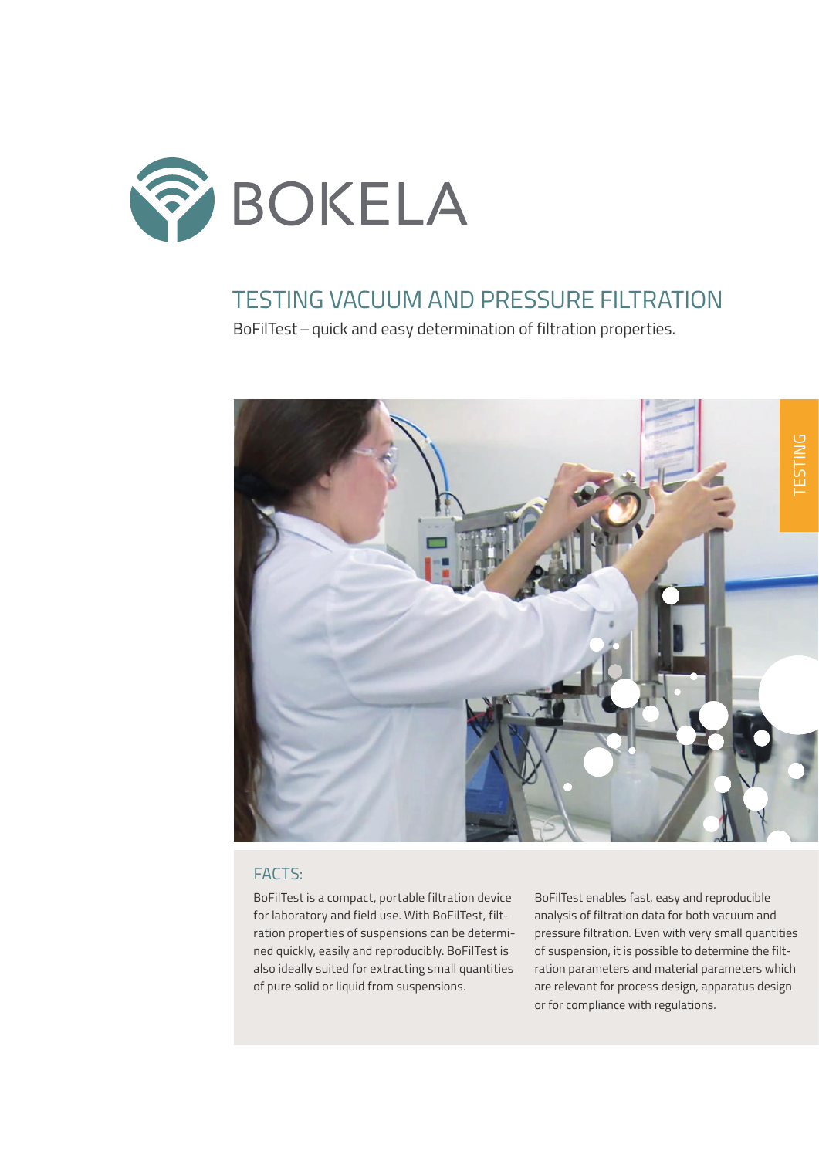

## TESTING VACUUM AND PRESSURE FILTRATION

BoFilTest – quick and easy determination of filtration properties.



## FACTS:

BoFilTest is a compact, portable filtration device for laboratory and field use. With BoFilTest, filtration properties of suspensions can be determined quickly, easily and reproducibly. BoFilTest is also ideally suited for extracting small quantities of pure solid or liquid from suspensions.

BoFilTest enables fast, easy and reproducible analysis of filtration data for both vacuum and pressure filtration. Even with very small quantities of suspension, it is possible to determine the filtration parameters and material parameters which are relevant for process design, apparatus design or for compliance with regulations.